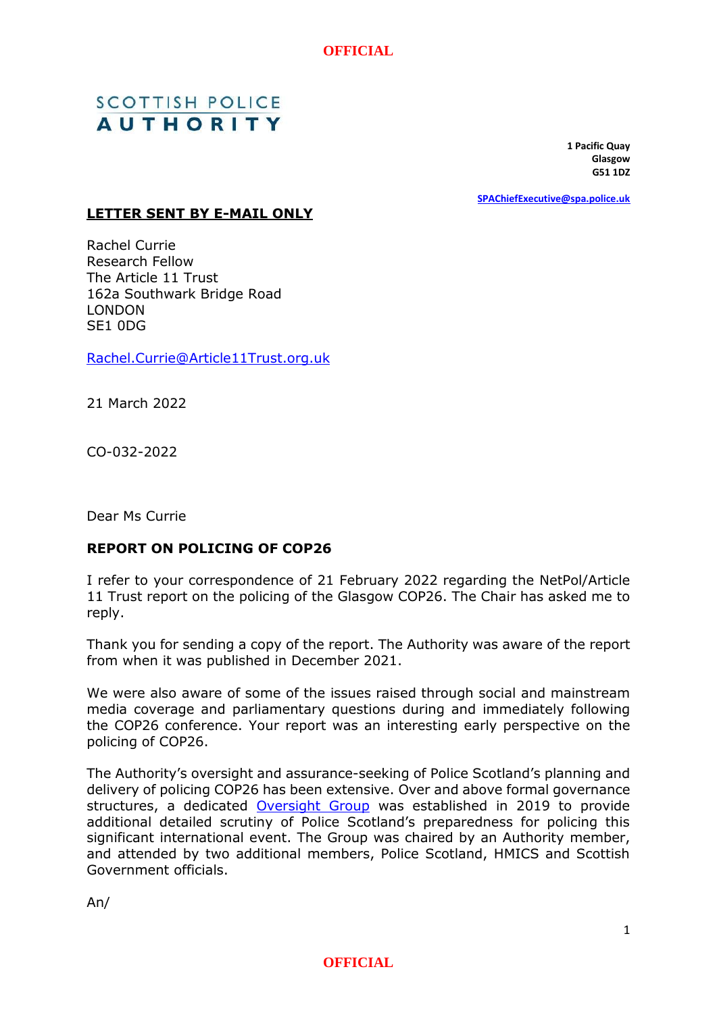

# **SCOTTISH POLICE AUTHORITY**

**1 Pacific Quay Glasgow G51 1DZ**

**[SPAChiefExecutive@spa.police.uk](mailto:SPAChiefExecutive@spa.police.uk)**

### **LETTER SENT BY E-MAIL ONLY**

Rachel Currie Research Fellow The Article 11 Trust 162a Southwark Bridge Road LONDON SE1 0DG

[Rachel.Currie@Article11Trust.org.uk](mailto:Rachel.Currie@Article11Trust.org.uk)

21 March 2022

CO-032-2022

Dear Ms Currie

## **REPORT ON POLICING OF COP26**

I refer to your correspondence of 21 February 2022 regarding the NetPol/Article 11 Trust report on the policing of the Glasgow COP26. The Chair has asked me to reply.

Thank you for sending a copy of the report. The Authority was aware of the report from when it was published in December 2021.

We were also aware of some of the issues raised through social and mainstream media coverage and parliamentary questions during and immediately following the COP26 conference. Your report was an interesting early perspective on the policing of COP26.

The Authority's oversight and assurance-seeking of Police Scotland's planning and delivery of policing COP26 has been extensive. Over and above formal governance structures, a dedicated [Oversight Group](https://www.spa.police.uk/spa-media/p2wjnmy2/policing-of-cop26-oversight-group-tor.pdf) was established in 2019 to provide additional detailed scrutiny of Police Scotland's preparedness for policing this significant international event. The Group was chaired by an Authority member, and attended by two additional members, Police Scotland, HMICS and Scottish Government officials.

An/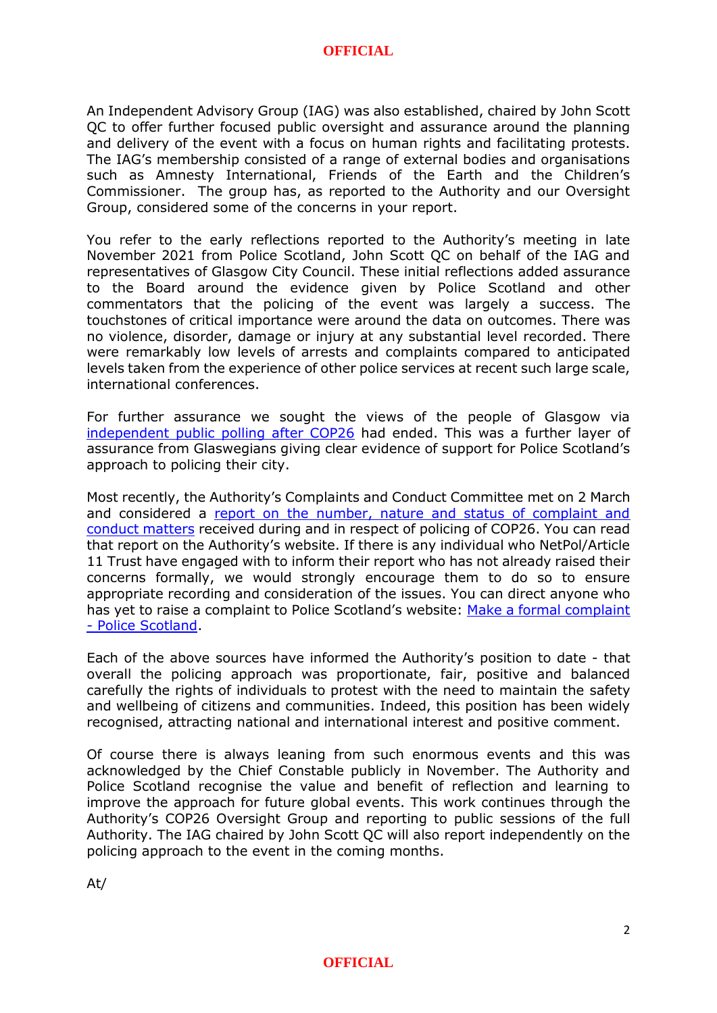#### **OFFICIAL**

An Independent Advisory Group (IAG) was also established, chaired by John Scott QC to offer further focused public oversight and assurance around the planning and delivery of the event with a focus on human rights and facilitating protests. The IAG's membership consisted of a range of external bodies and organisations such as Amnesty International, Friends of the Earth and the Children's Commissioner. The group has, as reported to the Authority and our Oversight Group, considered some of the concerns in your report.

You refer to the early reflections reported to the Authority's meeting in late November 2021 from Police Scotland, John Scott QC on behalf of the IAG and representatives of Glasgow City Council. These initial reflections added assurance to the Board around the evidence given by Police Scotland and other commentators that the policing of the event was largely a success. The touchstones of critical importance were around the data on outcomes. There was no violence, disorder, damage or injury at any substantial level recorded. There were remarkably low levels of arrests and complaints compared to anticipated levels taken from the experience of other police services at recent such large scale, international conferences.

For further assurance we sought the views of the people of Glasgow via [independent public polling](https://www.spa.police.uk/news/glaswegians-show-support-for-police-scotland-s-policing-approach-to-cop26/) after COP26 had ended. This was a further layer of assurance from Glaswegians giving clear evidence of support for Police Scotland's approach to policing their city.

Most recently, the Authority's Complaints and Conduct Committee met on 2 March and considered a [report on the number, nature and status of complaint and](https://www.spa.police.uk/spa-media/3tndej0e/rep-c-20222102-item-7-operation-urram-closure-report-spa-ccc-march-2022-doc.pdf)  [conduct matters](https://www.spa.police.uk/spa-media/3tndej0e/rep-c-20222102-item-7-operation-urram-closure-report-spa-ccc-march-2022-doc.pdf) received during and in respect of policing of COP26. You can read that report on the Authority's website. If there is any individual who NetPol/Article 11 Trust have engaged with to inform their report who has not already raised their concerns formally, we would strongly encourage them to do so to ensure appropriate recording and consideration of the issues. You can direct anyone who has yet to raise a complaint to Police Scotland's website: [Make a formal complaint](https://www.scotland.police.uk/about-us/how-we-do-it/complaints/make-a-formal-complaint/)  - [Police Scotland.](https://www.scotland.police.uk/about-us/how-we-do-it/complaints/make-a-formal-complaint/)

Each of the above sources have informed the Authority's position to date - that overall the policing approach was proportionate, fair, positive and balanced carefully the rights of individuals to protest with the need to maintain the safety and wellbeing of citizens and communities. Indeed, this position has been widely recognised, attracting national and international interest and positive comment.

Of course there is always leaning from such enormous events and this was acknowledged by the Chief Constable publicly in November. The Authority and Police Scotland recognise the value and benefit of reflection and learning to improve the approach for future global events. This work continues through the Authority's COP26 Oversight Group and reporting to public sessions of the full Authority. The IAG chaired by John Scott QC will also report independently on the policing approach to the event in the coming months.